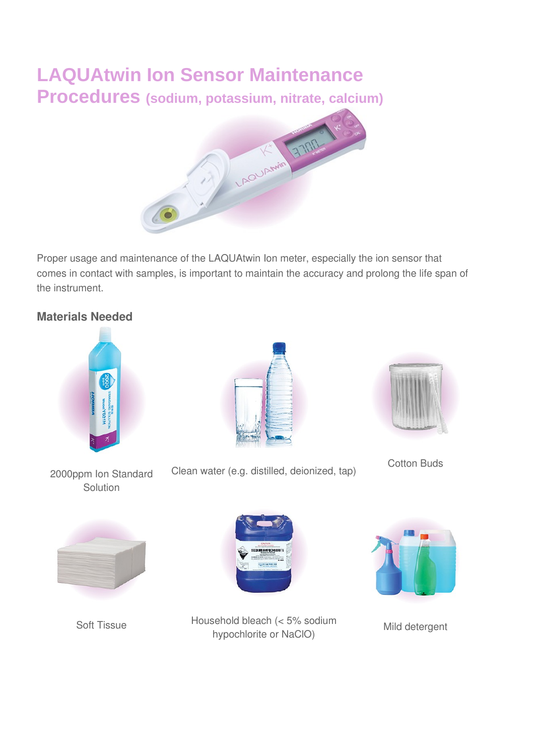# **LAQUAtwin Ion Sensor Maintenance Procedures (sodium, potassium, nitrate, calcium)**



Proper usage and maintenance of the LAQUAtwin Ion meter, especially the ion sensor that comes in contact with samples, is important to maintain the accuracy and prolong the life span of the instrument.

## **Materials Needed**



Cotton Buds







Soft Tissue Household bleach (< 5% sodium hypochlorite or NaClO) Mild detergent



Clean water (e.g. distilled, deionized, tap)